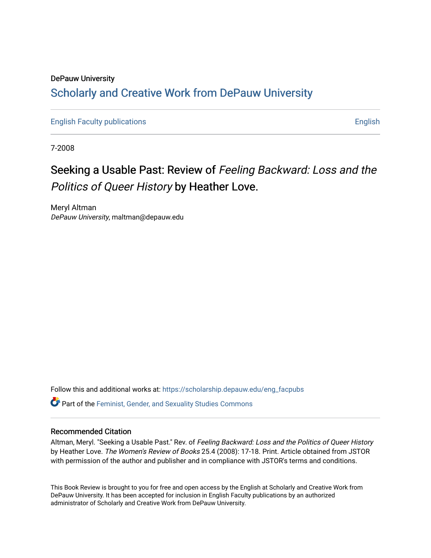# DePauw University Scholarly and [Creative Work from DePauw Univ](https://scholarship.depauw.edu/)ersity

[English Faculty publications](https://scholarship.depauw.edu/eng_facpubs) **English** English

7-2008

# Seeking a Usable Past: Review of Feeling Backward: Loss and the Politics of Queer History by Heather Love.

Meryl Altman DePauw University, maltman@depauw.edu

Follow this and additional works at: [https://scholarship.depauw.edu/eng\\_facpubs](https://scholarship.depauw.edu/eng_facpubs?utm_source=scholarship.depauw.edu%2Feng_facpubs%2F3&utm_medium=PDF&utm_campaign=PDFCoverPages)  Part of the [Feminist, Gender, and Sexuality Studies Commons](https://network.bepress.com/hgg/discipline/559?utm_source=scholarship.depauw.edu%2Feng_facpubs%2F3&utm_medium=PDF&utm_campaign=PDFCoverPages)

## Recommended Citation

Altman, Meryl. "Seeking a Usable Past." Rev. of Feeling Backward: Loss and the Politics of Queer History by Heather Love. The Women's Review of Books 25.4 (2008): 17-18. Print. Article obtained from JSTOR with permission of the author and publisher and in compliance with JSTOR's terms and conditions.

This Book Review is brought to you for free and open access by the English at Scholarly and Creative Work from DePauw University. It has been accepted for inclusion in English Faculty publications by an authorized administrator of Scholarly and Creative Work from DePauw University.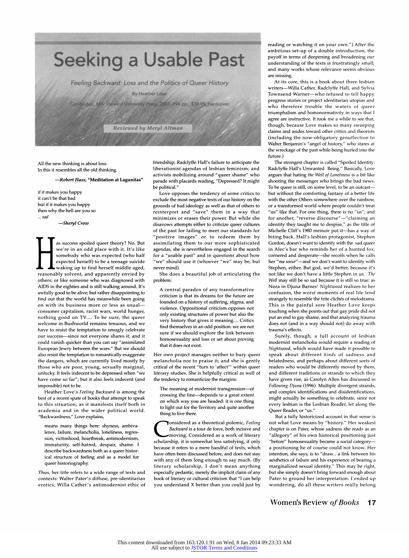

All the new thinking is about loss. In this it resembles all the old thinking.

#### -Robert Hass, "Meditation at Lagunitas"

if it makes you happy it can't be that bad but if it makes you happy then why the hell are you so ... sad

-Sheryl Crow

as success spoiled queer theory? No. But we're in an odd place with it. It's like somebody who was expected (who half expected herself) to be a teenage suicide waking up to find herself middle aged, reasonably solvent, and apparently envied by others; or like someone who was diagnosed with AIDS in the eighties and is still walking around. It's awfully good to be alive; but rather disappointing to find out that the world has meanwhile been going on with its business more or less as usualconsumer capitalism, racist wars, world hunger, nothing good on TV.... To be sure, the queer welcome in Bushworld remains tenuous, and we have to resist the temptation to smugly celebrate our success-since not everyone shares it, and it could vanish quicker than you can say "assimilated European Jewry between the wars." But we should also resist the temptation to romantically exaggerate the dangers, which are currently lived mostly by those who are poor, young, sexually marginal, unlucky. It feels indecent to be depressed when "we have come so far"; but it also feels indecent (and impossible) not to be.

Heather Love's Feeling Backward is among the best of a recent spate of books that attempt to speak to this situation, as it manifests itself both in academia and in the wider political world. "Backwardness," Love explains,

means many things here: shyness, ambivalence, failure, melancholia, loneliness, regression, victimhood, heartbreak, antimodernism, immaturity, self-hatred, despair, shame. I describe backwardness both as a queer historical structure of feeling and as a model for queer historiography.

Thus, her title refers to a wide range of texts and contexts: Walter Pater's diffuse, pre-identitarian erotics; Willa Cather's antimodernist ethic of friendship; Radclyffe Hall's failure to anticipate the liberationist agendas of lesbian feminism; and activists mobilizing around "queer shame" who parade with placards reading, "Depressed? It might be political."

Love opposes the tendency of some critics to exclude the most negative texts of our history on the grounds of bad ideology as well as that of others to reinterpret and "save" them in a way that minimizes or erases their power. But while she disavows attempts either to criticize queer cultures of the past for failing to meet our standards for "positive images" or to redeem them by assimilating them to our more sophisticated agendas, she is nevertheless engaged in the search for a "usable past" and in questions about how "we" should use it (whoever "we" may be, but never mind).

She does a beautiful job of articulating the problem:

A central paradox of any transformative criticism is that its dreams for the future are founded on a history of suffering, stigma, and violence. Oppositional criticism opposes not only existing structures of power but also the very history that gives it meaning.... Critics find themselves in an odd position: we are not sure if we should explore the link between homosexuality and loss or set about proving that it does not exist.

Her own project manages neither to bury queer melancholia nor to praise it; and she is gently critical of the recent "turn to 'affect'" within queer literary studies. She is helpfully critical as well of the tendency to romanticize the margins:

The meaning of modernist transgression-of crossing the line-depends to a great extent on which way you are headed: it is one thing to light out for the Territory and quite another thing to live there.

Tonsidered as a theoretical polemic, Feeling Backward is a tour de force, both incisive and moving. Considered as a work of literary scholarship, it is somewhat less satisfying, if only because it refers to a mere handful of texts, which have often been discussed before, and does not stay with any of them long enough to say much. (By literary scholarship, I don't mean anything especially pedantic, merely the implicit claim of any book of literary or cultural criticism that "I can help you understand X better than you could just by reading or watching it on your own.") After the ambitious set-up of a double introduction, the payoff in terms of deepening and broadening our understanding of the texts is frustratingly small; and many works whose relevance seems obvious are missing.

At its core, this is a book about three lesbian writers-Willa Cather, Radclyffe Hall, and Sylvia Townsend Warner-who refused to tell happy progress stories or project identitarian utopias and who therefore trouble the waters of queer triumphalism and homonormativity in ways that I agree are instructive. It took me a while to see that, though, because Love makes so many sweeping claims and asides toward other critics and theorists (including the now-obligatory genuflection to Walter Benjamin's "angel of history," who stares at the wreckage of the past while being hurled into the future.)

The strongest chapter is called "Spoiled Identity: Radclyffe Hall's Unwanted Being." Basically, Love argues that hating the Well of Loneliness is a bit like shooting the messenger who brings the bad news. To be queer is still, on some level, to be an outcastbut without the comforting fantasy of a better life with the other Others somewhere over the rainbow, or a transformed world where people couldn't treat "us" like that. For one thing, there is no "us"; and for another, "reverse discourse"—"claiming an identity they taught me to despise," as the title of Michelle Cliff's 1980 memoir put it-has a way of biting back. Hall's lesbian protagonist, Stephen Gordon, doesn't want to identify with the sad queer in Alec's bar who reminds her of a hunted fox, cornered and desperate-she recoils when he calls her "ma soeur"—and we don't want to identify with Stephen, either. But god, we'd better, because it's not like we don't have a little Stephen in us. The Well may still be so sad because it is still so true: as Nora in Djuna Barnes' Nightwood realizes to her confusion, the worst moments of real life tend strangely to resemble the trite clichés of melodrama. This is the painful sore Heather Love keeps touching when she points out that gay pride did not put an end to gay shame, and that analyzing trauma does not (and in a way should not) do away with trauma's effects.

Surely, though, a full account of lesbian modernist melancholia would require a reading of Nightwood, which would have made it possible to speak about different kinds of sadness and belatedness, and perhaps about different sorts of readers who would be differently moved by them, and different traditions or strands to which they have given rise, as Carolyn Allen has discussed in Following Djuna (1996). Multiple divergent strands, and complex identifications and disidentifications, might actually be something to celebrate, since not every lesbian is the Lesbian Reader, let along the Queer Reader, or "us."

But a fully historicized account in that sense is not what Love means by "history." Her weakest chapter is on Pater, whose sadness she reads as an "allegory" of his own historical positioning just "before" homosexuality became a social categorya positioning he of course could not know. Her intention, she says, is to "draw... a link between his aesthetics of failure and his experience of bearing a marginalized sexual identity." This may be right, but she simply doesn't bring forward enough about Pater to ground her interpretation. I ended up wondering, do all these writers really belong

#### Women's Review of Books 17